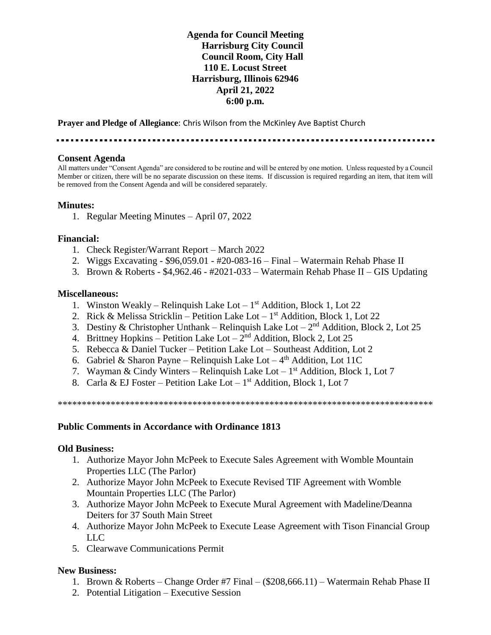# **Agenda for Council Meeting Harrisburg City Council Council Room, City Hall 110 E. Locust Street Harrisburg, Illinois 62946 April 21, 2022 6:00 p.m.**

**Prayer and Pledge of Allegiance**: Chris Wilson from the McKinley Ave Baptist Church

........

### **Consent Agenda**

All matters under "Consent Agenda" are considered to be routine and will be entered by one motion. Unless requested by a Council Member or citizen, there will be no separate discussion on these items. If discussion is required regarding an item, that item will be removed from the Consent Agenda and will be considered separately.

### **Minutes:**

1. Regular Meeting Minutes – April 07, 2022

### **Financial:**

- 1. Check Register/Warrant Report March 2022
- 2. Wiggs Excavating \$96,059.01 #20-083-16 Final Watermain Rehab Phase II
- 3. Brown & Roberts \$4,962.46 #2021-033 Watermain Rehab Phase II GIS Updating

#### **Miscellaneous:**

- 1. Winston Weakly Relinquish Lake Lot  $1<sup>st</sup>$  Addition, Block 1, Lot 22
- 2. Rick & Melissa Stricklin Petition Lake Lot  $1<sup>st</sup>$  Addition, Block 1, Lot 22
- 3. Destiny & Christopher Unthank Relinquish Lake Lot  $2<sup>nd</sup>$  Addition, Block 2, Lot 25
- 4. Brittney Hopkins Petition Lake Lot  $2<sup>nd</sup>$  Addition, Block 2, Lot 25
- 5. Rebecca & Daniel Tucker Petition Lake Lot Southeast Addition, Lot 2
- 6. Gabriel & Sharon Payne Relinquish Lake Lot  $-4<sup>th</sup>$  Addition, Lot 11C
- 7. Wayman & Cindy Winters Relinquish Lake Lot  $1<sup>st</sup>$  Addition, Block 1, Lot 7
- 8. Carla & EJ Foster Petition Lake Lot  $1<sup>st</sup>$  Addition, Block 1, Lot 7

\*\*\*\*\*\*\*\*\*\*\*\*\*\*\*\*\*\*\*\*\*\*\*\*\*\*\*\*\*\*\*\*\*\*\*\*\*\*\*\*\*\*\*\*\*\*\*\*\*\*\*\*\*\*\*\*\*\*\*\*\*\*\*\*\*\*\*\*\*\*\*\*\*\*\*\*\*\*

### **Public Comments in Accordance with Ordinance 1813**

### **Old Business:**

- 1. Authorize Mayor John McPeek to Execute Sales Agreement with Womble Mountain Properties LLC (The Parlor)
- 2. Authorize Mayor John McPeek to Execute Revised TIF Agreement with Womble Mountain Properties LLC (The Parlor)
- 3. Authorize Mayor John McPeek to Execute Mural Agreement with Madeline/Deanna Deiters for 37 South Main Street
- 4. Authorize Mayor John McPeek to Execute Lease Agreement with Tison Financial Group LLC
- 5. Clearwave Communications Permit

## **New Business:**

- 1. Brown & Roberts Change Order #7 Final (\$208,666.11) Watermain Rehab Phase II
- 2. Potential Litigation Executive Session